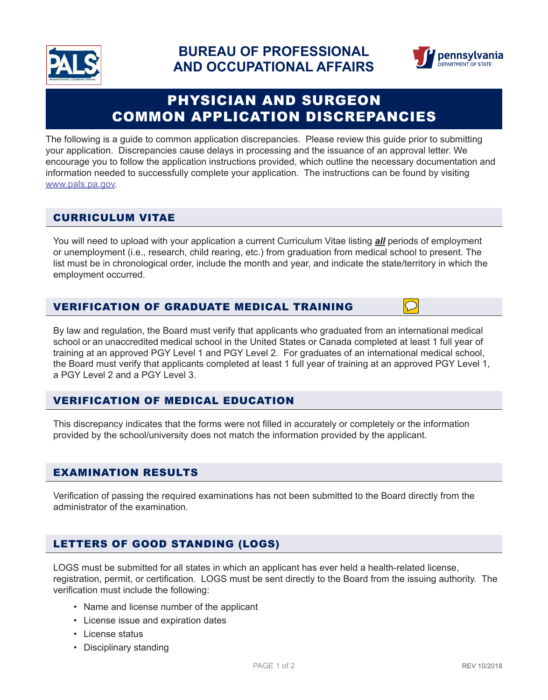



# PHYSICIAN AND SURGEON COMMON APPLICATION DISCREPANCIES

The following is a guide to common application discrepancies. Please review this guide prior to submitting your application. Discrepancies cause delays in processing and the issuance of an approval letter. We encourage you to follow the application instructions provided, which outline the necessary documentation and information needed to successfully complete your application. The instructions can be found by visiting www.pals.pa.gov.

# CURRICULUM VITAE

You will need to upload with your application a current Curriculum Vitae listing **all** periods of employment or unemployment (i.e., research, child rearing, etc.) from graduation from medical school to present. The list must be in chronological order, include the month and year, and indicate the state/territory in which the employment occurred.

#### VERIFICATION OF GRADUATE MEDICAL TRAINING

By law and regulation, the Board must verify that applicants who graduated from an international medical school or an unaccredited medical school in the United States or Canada completed at least 1 full year of training at an approved PGY Level 1 and PGY Level 2. For graduates of an international medical school, the Board must verify that applicants completed at least 1 full year of training at an approved PGY Level 1, a PGY Level 2 and a PGY Level 3.

# VERIFICATION OF MEDICAL EDUCATION

This discrepancy indicates that the forms were not filled in accurately or completely or the information provided by the school/university does not match the information provided by the applicant.

#### EXAMINATION RESULTS

Verification of passing the required examinations has not been submitted to the Board directly from the administrator of the examination.

# LETTERS OF GOOD STANDING (LOGS)

LOGS must be submitted for all states in which an applicant has ever held a health-related license, registration, permit, or certification. LOGS must be sent directly to the Board from the issuing authority. The verification must include the following:

- Name and license number of the applicant
- License issue and expiration dates
- License status
- Disciplinary standing